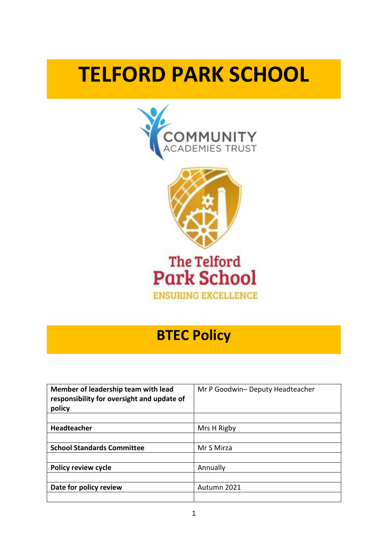# **TELFORD PARK SCHOOL**







# **BTEC Policy**

| Member of leadership team with lead<br>responsibility for oversight and update of<br>policy | Mr P Goodwin- Deputy Headteacher |
|---------------------------------------------------------------------------------------------|----------------------------------|
|                                                                                             |                                  |
| <b>Headteacher</b>                                                                          | Mrs H Rigby                      |
|                                                                                             |                                  |
| <b>School Standards Committee</b>                                                           | Mr S Mirza                       |
|                                                                                             |                                  |
| <b>Policy review cycle</b>                                                                  | Annually                         |
|                                                                                             |                                  |
| Date for policy review                                                                      | Autumn 2021                      |
|                                                                                             |                                  |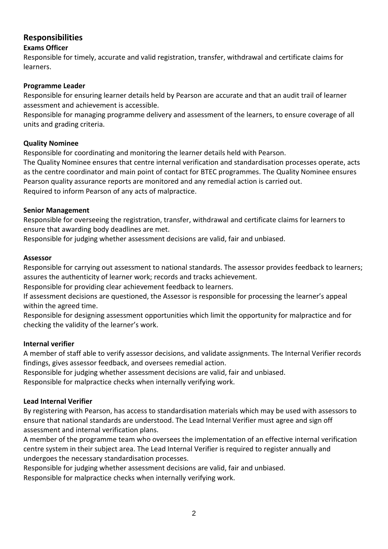# **Responsibilities**

#### **Exams Officer**

Responsible for timely, accurate and valid registration, transfer, withdrawal and certificate claims for learners.

#### **Programme Leader**

Responsible for ensuring learner details held by Pearson are accurate and that an audit trail of learner assessment and achievement is accessible.

Responsible for managing programme delivery and assessment of the learners, to ensure coverage of all units and grading criteria.

#### **Quality Nominee**

Responsible for coordinating and monitoring the learner details held with Pearson.

The Quality Nominee ensures that centre internal verification and standardisation processes operate, acts as the centre coordinator and main point of contact for BTEC programmes. The Quality Nominee ensures Pearson quality assurance reports are monitored and any remedial action is carried out. Required to inform Pearson of any acts of malpractice.

#### **Senior Management**

Responsible for overseeing the registration, transfer, withdrawal and certificate claims for learners to ensure that awarding body deadlines are met.

Responsible for judging whether assessment decisions are valid, fair and unbiased.

#### **Assessor**

Responsible for carrying out assessment to national standards. The assessor provides feedback to learners; assures the authenticity of learner work; records and tracks achievement.

Responsible for providing clear achievement feedback to learners.

If assessment decisions are questioned, the Assessor is responsible for processing the learner's appeal within the agreed time.

Responsible for designing assessment opportunities which limit the opportunity for malpractice and for checking the validity of the learner's work.

#### **Internal verifier**

A member of staff able to verify assessor decisions, and validate assignments. The Internal Verifier records findings, gives assessor feedback, and oversees remedial action.

Responsible for judging whether assessment decisions are valid, fair and unbiased.

Responsible for malpractice checks when internally verifying work.

#### **Lead Internal Verifier**

By registering with Pearson, has access to standardisation materials which may be used with assessors to ensure that national standards are understood. The Lead Internal Verifier must agree and sign off assessment and internal verification plans.

A member of the programme team who oversees the implementation of an effective internal verification centre system in their subject area. The Lead Internal Verifier is required to register annually and undergoes the necessary standardisation processes.

Responsible for judging whether assessment decisions are valid, fair and unbiased.

Responsible for malpractice checks when internally verifying work.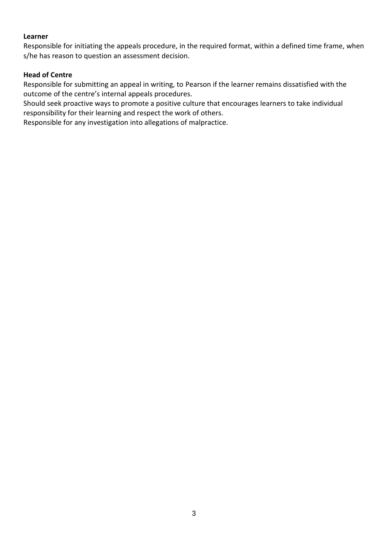#### **Learner**

Responsible for initiating the appeals procedure, in the required format, within a defined time frame, when s/he has reason to question an assessment decision.

#### **Head of Centre**

Responsible for submitting an appeal in writing, to Pearson if the learner remains dissatisfied with the outcome of the centre's internal appeals procedures.

Should seek proactive ways to promote a positive culture that encourages learners to take individual responsibility for their learning and respect the work of others.

Responsible for any investigation into allegations of malpractice.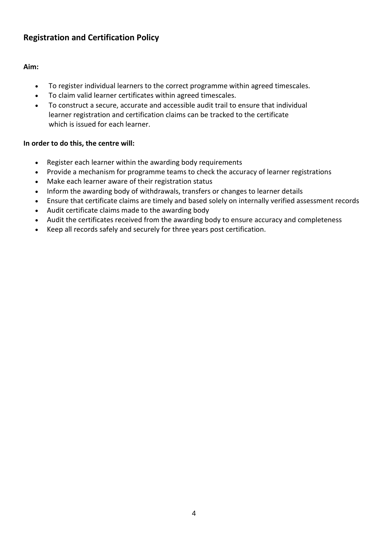# **Registration and Certification Policy**

#### **Aim:**

- To register individual learners to the correct programme within agreed timescales.
- To claim valid learner certificates within agreed timescales.
- To construct a secure, accurate and accessible audit trail to ensure that individual learner registration and certification claims can be tracked to the certificate which is issued for each learner.

#### **In order to do this, the centre will:**

- Register each learner within the awarding body requirements
- Provide a mechanism for programme teams to check the accuracy of learner registrations
- Make each learner aware of their registration status
- Inform the awarding body of withdrawals, transfers or changes to learner details
- Ensure that certificate claims are timely and based solely on internally verified assessment records
- Audit certificate claims made to the awarding body
- Audit the certificates received from the awarding body to ensure accuracy and completeness
- Keep all records safely and securely for three years post certification.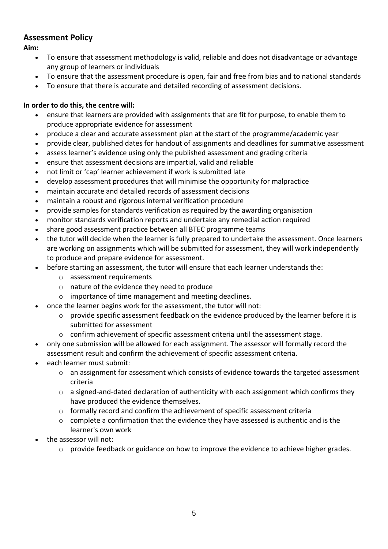# **Assessment Policy**

**Aim:** 

- To ensure that assessment methodology is valid, reliable and does not disadvantage or advantage any group of learners or individuals
- To ensure that the assessment procedure is open, fair and free from bias and to national standards
- To ensure that there is accurate and detailed recording of assessment decisions.

#### **In order to do this, the centre will:**

- ensure that learners are provided with assignments that are fit for purpose, to enable them to produce appropriate evidence for assessment
- produce a clear and accurate assessment plan at the start of the programme/academic year
- provide clear, published dates for handout of assignments and deadlines for summative assessment
- assess learner's evidence using only the published assessment and grading criteria
- ensure that assessment decisions are impartial, valid and reliable
- not limit or 'cap' learner achievement if work is submitted late
- develop assessment procedures that will minimise the opportunity for malpractice
- maintain accurate and detailed records of assessment decisions
- maintain a robust and rigorous internal verification procedure
- provide samples for standards verification as required by the awarding organisation
- monitor standards verification reports and undertake any remedial action required
- share good assessment practice between all BTEC programme teams
- the tutor will decide when the learner is fully prepared to undertake the assessment. Once learners are working on assignments which will be submitted for assessment, they will work independently to produce and prepare evidence for assessment.
- before starting an assessment, the tutor will ensure that each learner understands the:
	- o assessment requirements
	- o nature of the evidence they need to produce
	- o importance of time management and meeting deadlines.
- once the learner begins work for the assessment, the tutor will not:
	- $\circ$  provide specific assessment feedback on the evidence produced by the learner before it is submitted for assessment
	- $\circ$  confirm achievement of specific assessment criteria until the assessment stage.
- only one submission will be allowed for each assignment. The assessor will formally record the assessment result and confirm the achievement of specific assessment criteria.
- each learner must submit:
	- o an assignment for assessment which consists of evidence towards the targeted assessment criteria
	- $\circ$  a signed-and-dated declaration of authenticity with each assignment which confirms they have produced the evidence themselves.
	- $\circ$  formally record and confirm the achievement of specific assessment criteria
	- $\circ$  complete a confirmation that the evidence they have assessed is authentic and is the learner's own work
- the assessor will not:
	- o provide feedback or guidance on how to improve the evidence to achieve higher grades.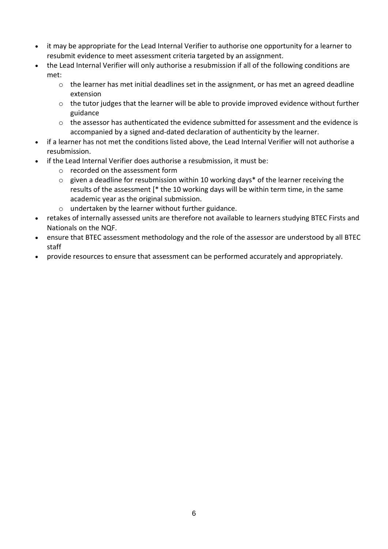- it may be appropriate for the Lead Internal Verifier to authorise one opportunity for a learner to resubmit evidence to meet assessment criteria targeted by an assignment.
- the Lead Internal Verifier will only authorise a resubmission if all of the following conditions are met:
	- o the learner has met initial deadlines set in the assignment, or has met an agreed deadline extension
	- o the tutor judges that the learner will be able to provide improved evidence without further guidance
	- o the assessor has authenticated the evidence submitted for assessment and the evidence is accompanied by a signed and-dated declaration of authenticity by the learner.
- if a learner has not met the conditions listed above, the Lead Internal Verifier will not authorise a resubmission.
- if the Lead Internal Verifier does authorise a resubmission, it must be:
	- o recorded on the assessment form
	- o given a deadline for resubmission within 10 working days\* of the learner receiving the results of the assessment [\* the 10 working days will be within term time, in the same academic year as the original submission.
	- o undertaken by the learner without further guidance.
- retakes of internally assessed units are therefore not available to learners studying BTEC Firsts and Nationals on the NQF.
- ensure that BTEC assessment methodology and the role of the assessor are understood by all BTEC staff
- provide resources to ensure that assessment can be performed accurately and appropriately.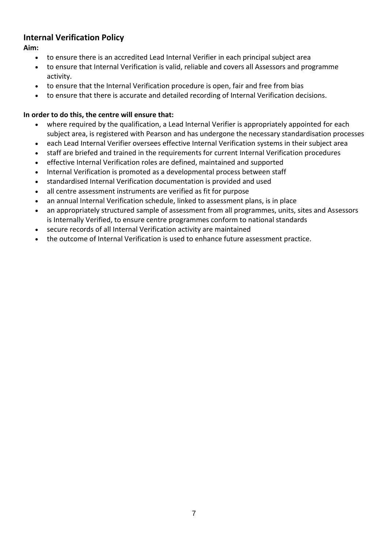# **Internal Verification Policy**

**Aim:** 

- to ensure there is an accredited Lead Internal Verifier in each principal subject area
- to ensure that Internal Verification is valid, reliable and covers all Assessors and programme activity.
- to ensure that the Internal Verification procedure is open, fair and free from bias
- to ensure that there is accurate and detailed recording of Internal Verification decisions.

## **In order to do this, the centre will ensure that:**

- where required by the qualification, a Lead Internal Verifier is appropriately appointed for each subject area, is registered with Pearson and has undergone the necessary standardisation processes
- each Lead Internal Verifier oversees effective Internal Verification systems in their subject area
- staff are briefed and trained in the requirements for current Internal Verification procedures
- effective Internal Verification roles are defined, maintained and supported
- Internal Verification is promoted as a developmental process between staff
- standardised Internal Verification documentation is provided and used
- all centre assessment instruments are verified as fit for purpose
- an annual Internal Verification schedule, linked to assessment plans, is in place
- an appropriately structured sample of assessment from all programmes, units, sites and Assessors is Internally Verified, to ensure centre programmes conform to national standards
- secure records of all Internal Verification activity are maintained
- the outcome of Internal Verification is used to enhance future assessment practice.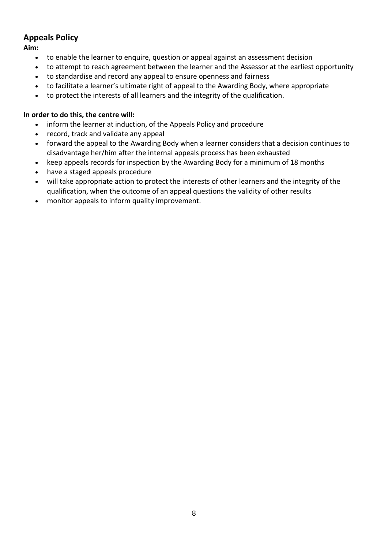# **Appeals Policy**

**Aim:** 

- to enable the learner to enquire, question or appeal against an assessment decision
- to attempt to reach agreement between the learner and the Assessor at the earliest opportunity
- to standardise and record any appeal to ensure openness and fairness
- to facilitate a learner's ultimate right of appeal to the Awarding Body, where appropriate
- to protect the interests of all learners and the integrity of the qualification.

#### **In order to do this, the centre will:**

- inform the learner at induction, of the Appeals Policy and procedure
- record, track and validate any appeal
- forward the appeal to the Awarding Body when a learner considers that a decision continues to disadvantage her/him after the internal appeals process has been exhausted
- keep appeals records for inspection by the Awarding Body for a minimum of 18 months
- have a staged appeals procedure
- will take appropriate action to protect the interests of other learners and the integrity of the qualification, when the outcome of an appeal questions the validity of other results
- monitor appeals to inform quality improvement.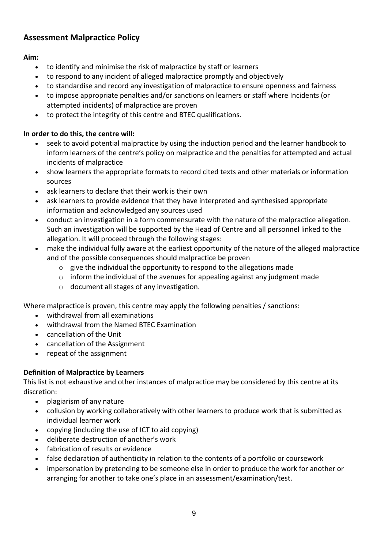# **Assessment Malpractice Policy**

#### **Aim:**

- to identify and minimise the risk of malpractice by staff or learners
- to respond to any incident of alleged malpractice promptly and objectively
- to standardise and record any investigation of malpractice to ensure openness and fairness
- to impose appropriate penalties and/or sanctions on learners or staff where Incidents (or attempted incidents) of malpractice are proven
- to protect the integrity of this centre and BTEC qualifications.

## **In order to do this, the centre will:**

- seek to avoid potential malpractice by using the induction period and the learner handbook to inform learners of the centre's policy on malpractice and the penalties for attempted and actual incidents of malpractice
- show learners the appropriate formats to record cited texts and other materials or information sources
- ask learners to declare that their work is their own
- ask learners to provide evidence that they have interpreted and synthesised appropriate information and acknowledged any sources used
- conduct an investigation in a form commensurate with the nature of the malpractice allegation. Such an investigation will be supported by the Head of Centre and all personnel linked to the allegation. It will proceed through the following stages:
- make the individual fully aware at the earliest opportunity of the nature of the alleged malpractice and of the possible consequences should malpractice be proven
	- $\circ$  give the individual the opportunity to respond to the allegations made
	- $\circ$  inform the individual of the avenues for appealing against any judgment made
	- o document all stages of any investigation.

Where malpractice is proven, this centre may apply the following penalties / sanctions:

- withdrawal from all examinations
- withdrawal from the Named BTEC Examination
- cancellation of the Unit
- cancellation of the Assignment
- repeat of the assignment

#### **Definition of Malpractice by Learners**

This list is not exhaustive and other instances of malpractice may be considered by this centre at its discretion:

- plagiarism of any nature
- collusion by working collaboratively with other learners to produce work that is submitted as individual learner work
- copying (including the use of ICT to aid copying)
- deliberate destruction of another's work
- fabrication of results or evidence
- false declaration of authenticity in relation to the contents of a portfolio or coursework
- impersonation by pretending to be someone else in order to produce the work for another or arranging for another to take one's place in an assessment/examination/test.